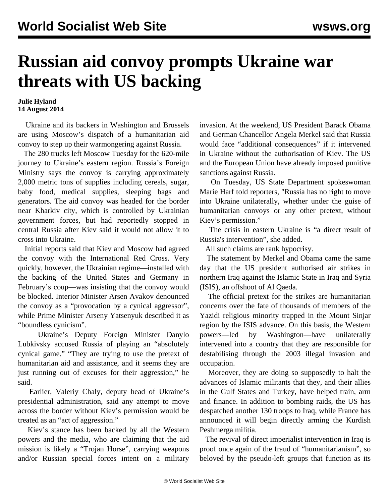## **Russian aid convoy prompts Ukraine war threats with US backing**

## **Julie Hyland 14 August 2014**

 Ukraine and its backers in Washington and Brussels are using Moscow's dispatch of a humanitarian aid convoy to step up their warmongering against Russia.

 The 280 trucks left Moscow Tuesday for the 620-mile journey to Ukraine's eastern region. Russia's Foreign Ministry says the convoy is carrying approximately 2,000 metric tons of supplies including cereals, sugar, baby food, medical supplies, sleeping bags and generators. The aid convoy was headed for the border near Kharkiv city, which is controlled by Ukrainian government forces, but had reportedly stopped in central Russia after Kiev said it would not allow it to cross into Ukraine.

 Initial reports said that Kiev and Moscow had agreed the convoy with the International Red Cross. Very quickly, however, the Ukrainian regime—installed with the backing of the United States and Germany in February's coup—was insisting that the convoy would be blocked. Interior Minister Arsen Avakov denounced the convoy as a "provocation by a cynical aggressor", while Prime Minister Arseny Yatsenyuk described it as "boundless cynicism".

 Ukraine's Deputy Foreign Minister Danylo Lubkivsky accused Russia of playing an "absolutely cynical game." "They are trying to use the pretext of humanitarian aid and assistance, and it seems they are just running out of excuses for their aggression," he said.

 Earlier, Valeriy Chaly, deputy head of Ukraine's presidential administration, said any attempt to move across the border without Kiev's permission would be treated as an "act of aggression."

 Kiev's stance has been backed by all the Western powers and the media, who are claiming that the aid mission is likely a "Trojan Horse", carrying weapons and/or Russian special forces intent on a military

invasion. At the weekend, US President Barack Obama and German Chancellor Angela Merkel said that Russia would face "additional consequences" if it intervened in Ukraine without the authorisation of Kiev. The US and the European Union have already imposed punitive sanctions against Russia.

 On Tuesday, US State Department spokeswoman Marie Harf told reporters, "Russia has no right to move into Ukraine unilaterally, whether under the guise of humanitarian convoys or any other pretext, without Kiev's permission."

 The crisis in eastern Ukraine is "a direct result of Russia's intervention", she added.

All such claims are rank hypocrisy.

 The statement by Merkel and Obama came the same day that the US president authorised air strikes in northern Iraq against the Islamic State in Iraq and Syria (ISIS), an offshoot of Al Qaeda.

 The official pretext for the strikes are humanitarian concerns over the fate of thousands of members of the Yazidi religious minority trapped in the Mount Sinjar region by the ISIS advance. On this basis, the Western powers—led by Washington—have unilaterally intervened into a country that they are responsible for destabilising through the 2003 illegal invasion and occupation.

 Moreover, they are doing so supposedly to halt the advances of Islamic militants that they, and their allies in the Gulf States and Turkey, have helped train, arm and finance. In addition to bombing raids, the US has despatched another 130 troops to Iraq, while France has announced it will begin directly arming the Kurdish Peshmerga militia.

 The revival of direct imperialist intervention in Iraq is proof once again of the fraud of "humanitarianism", so beloved by the pseudo-left groups that function as its